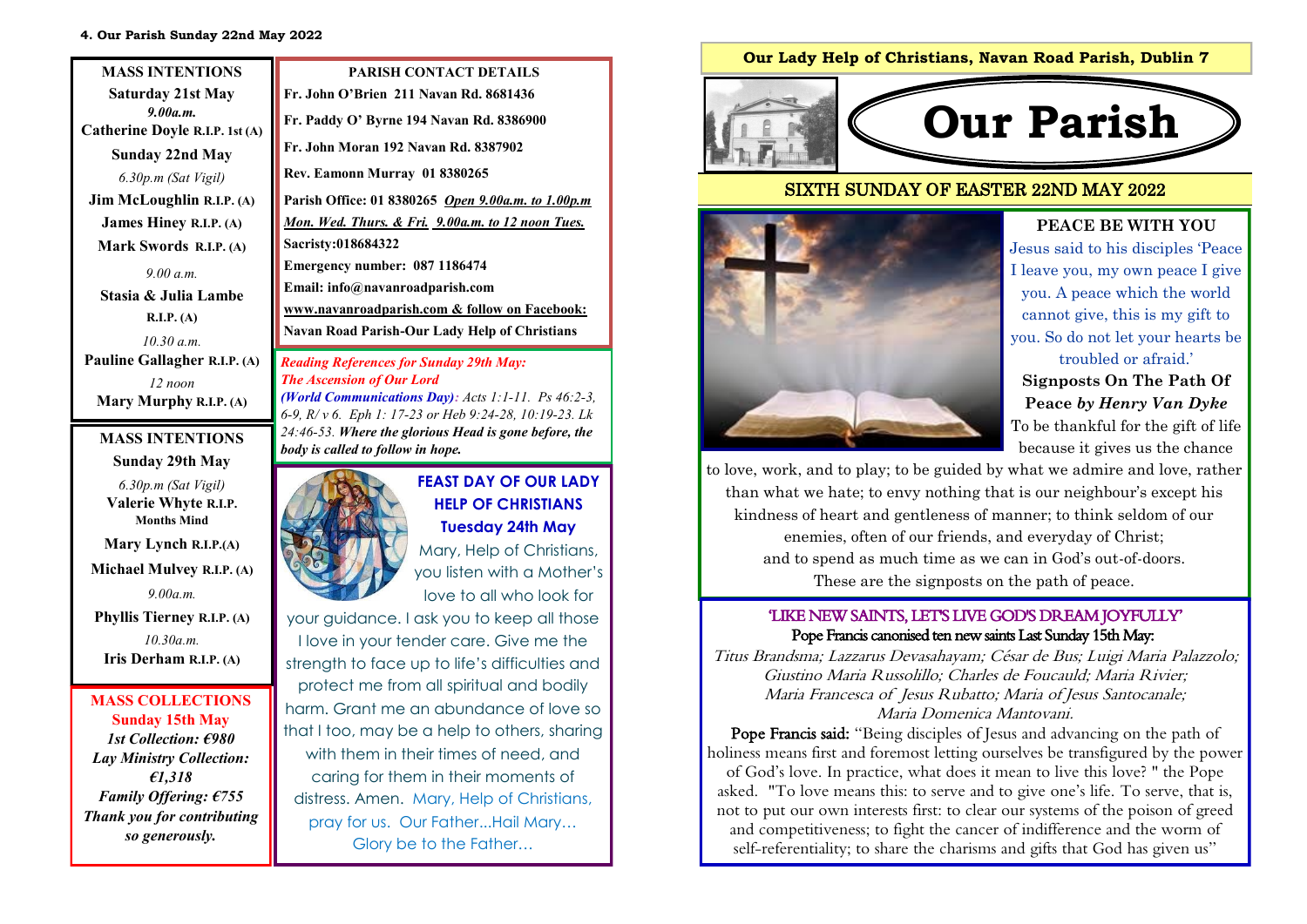| <b>MASS INTENTIONS</b>                     | <b>PARISH CONTACT DETAILS</b>                                                                                |
|--------------------------------------------|--------------------------------------------------------------------------------------------------------------|
| <b>Saturday 21st May</b>                   | Fr. John O'Brien 211 Navan Rd. 8681436                                                                       |
| 9.00a.m.<br>Catherine Doyle R.I.P. 1st (A) | Fr. Paddy O' Byrne 194 Navan Rd. 8386900                                                                     |
| <b>Sunday 22nd May</b>                     | Fr. John Moran 192 Navan Rd. 8387902                                                                         |
| 6.30p.m (Sat Vigil)                        | Rev. Eamonn Murray 01 8380265                                                                                |
| Jim McLoughlin R.I.P. (A)                  | Parish Office: 01 8380265 Open 9.00a.m. to 1.00p.m                                                           |
| <b>James Hiney R.I.P. (A)</b>              | Mon. Wed. Thurs. & Fri. 9.00a.m. to 12 noon Tues.                                                            |
| Mark Swords R.I.P. (A)                     | Sacristy:018684322                                                                                           |
| 9.00 a.m.                                  | Emergency number: 087 1186474                                                                                |
| Stasia & Julia Lambe                       | Email: info@navanroadparish.com                                                                              |
| R.I.P. (A)                                 | www.navanroadparish.com & follow on Facebook:                                                                |
| 10.30 a m                                  | <b>Navan Road Parish-Our Lady Help of Christians</b>                                                         |
| Pauline Gallagher R.I.P. (A)               | <b>Reading References for Sunday 29th May:</b>                                                               |
| $12$ noon                                  | <b>The Ascension of Our Lord</b>                                                                             |
| Mary Murphy R.I.P. (A)                     | (World Communications Day): Acts 1:1-11. Ps 46:2-3,<br>6-9, R/v 6. Eph 1: 17-23 or Heb 9:24-28, 10:19-23. Lk |
| <b>MASS INTENTIONS</b><br>$\alpha$ i Anihi | 24:46-53. Where the glorious Head is gone before, the<br>body is called to follow in hope.                   |

# **Sunday 29th May**



**Mary Lynch R.I.P.(A) Michael Mulvey R.I.P. (A)** *9.00a.m.* **Phyllis Tierney R.I.P. (A)**

*10.30a.m.*  **Iris Derham R.I.P. (A)** 

#### **MASS COLLECTIONS Sunday 15th May**  *1st Collection: €980 Lay Ministry Collection: €1,318 Family Offering: €755 Thank you for contributing so generously.*



**HELP OF CHRISTIANS Tuesday 24th May** 

Mary, Help of Christians, you listen with a Mother's love to all who look for

your guidance. I ask you to keep all those I love in your tender care. Give me the strength to face up to life's difficulties and protect me from all spiritual and bodily harm. Grant me an abundance of love so that I too, may be a help to others, sharing with them in their times of need, and caring for them in their moments of distress. Amen. Mary, Help of Christians, pray for us. Our Father...Hail Mary… Glory be to the Father…

### **Our Lady Help of Christians, Navan Road Parish, Dublin 7**



## SIXTH SUNDAY OF EASTER 22ND MAY 2022



# **PEACE BE WITH YOU**

Jesus said to his disciples 'Peace I leave you, my own peace I give you. A peace which the world cannot give, this is my gift to you. So do not let your hearts be troubled or afraid.'

**Signposts On The Path Of Peace** *by Henry Van Dyke*  To be thankful for the gift of life because it gives us the chance

to love, work, and to play; to be guided by what we admire and love, rather than what we hate; to envy nothing that is our neighbour's except his kindness of heart and gentleness of manner; to think seldom of our enemies, often of our friends, and everyday of Christ; and to spend as much time as we can in God's out-of-doors. These are the signposts on the path of peace.

### 'LIKE NEW SAINTS, LET'S LIVE GOD'S DREAM JOYFULLY' Pope Francis canonised ten new saints Last Sunday 15th May:

Titus Brandsma; Lazzarus Devasahayam; César de Bus; Luigi Maria Palazzolo; Giustino Maria Russolillo; Charles de Foucauld; Maria Rivier; Maria Francesca of Jesus Rubatto; Maria of Jesus Santocanale; Maria Domenica Mantovani.

Pope Francis said: "Being disciples of Jesus and advancing on the path of holiness means first and foremost letting ourselves be transfigured by the power of God's love. In practice, what does it mean to live this love? " the Pope asked. "To love means this: to serve and to give one's life. To serve, that is, not to put our own interests first: to clear our systems of the poison of greed and competitiveness; to fight the cancer of indifference and the worm of self-referentiality; to share the charisms and gifts that God has given us"